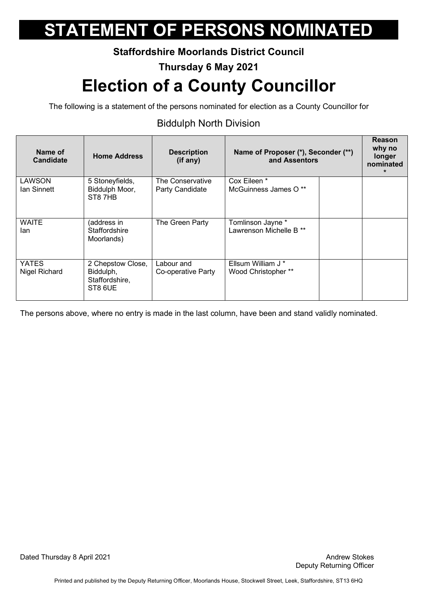### **Staffordshire Moorlands District Council**

### **Thursday 6 May 2021**

## **Election of a County Councillor**

The following is a statement of the persons nominated for election as a County Councillor for

### Biddulph North Division

| Name of<br><b>Candidate</b> | <b>Home Address</b>                                         | <b>Description</b><br>(if any)      | Name of Proposer (*), Seconder (**)<br>and Assentors    | Reason<br>why no<br>longer<br>nominated<br>$\star$ |
|-----------------------------|-------------------------------------------------------------|-------------------------------------|---------------------------------------------------------|----------------------------------------------------|
| LAWSON<br>Ian Sinnett       | 5 Stoneyfields,<br>Biddulph Moor,<br>ST87HB                 | The Conservative<br>Party Candidate | Cox Eileen *<br>McGuinness James O **                   |                                                    |
| WAITE<br>lan                | (address in<br>Staffordshire<br>Moorlands)                  | The Green Party                     | Tomlinson Jayne *<br>Lawrenson Michelle B <sup>**</sup> |                                                    |
| YATES<br>Nigel Richard      | 2 Chepstow Close,<br>Biddulph,<br>Staffordshire,<br>ST8 6UE | Labour and<br>Co-operative Party    | Ellsum William J *<br>Wood Christopher **               |                                                    |

The persons above, where no entry is made in the last column, have been and stand validly nominated.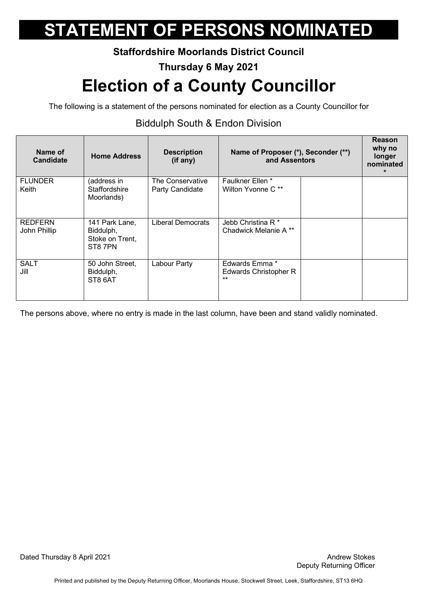### **Staffordshire Moorlands District Council**

### **Thursday 6 May 2021**

## **Election of a County Councillor**

The following is a statement of the persons nominated for election as a County Councillor for

### Biddulph South & Endon Division

| Name of<br><b>Candidate</b> | <b>Home Address</b>                     | <b>Description</b><br>(if any) | Name of Proposer (*), Seconder (**)<br>and Assentors | <b>Reason</b><br>why no<br>longer<br>nominated<br>$\star$ |
|-----------------------------|-----------------------------------------|--------------------------------|------------------------------------------------------|-----------------------------------------------------------|
| <b>FLUNDER</b>              | (address in                             | The Conservative               | Faulkner Ellen *                                     |                                                           |
| Keith                       | Staffordshire<br>Moorlands)             | Party Candidate                | Wilton Yvonne C <sup>**</sup>                        |                                                           |
| <b>REDFERN</b>              | 141 Park Lane,                          | Liberal Democrats              | Jebb Christina R <sup>*</sup>                        |                                                           |
| John Phillip                | Biddulph,<br>Stoke on Trent,<br>ST87PN  |                                | Chadwick Melanie A **                                |                                                           |
| <b>SALT</b><br>Jill         | 50 John Street,<br>Biddulph,<br>ST8 6AT | Labour Party                   | Edwards Emma *<br>Edwards Christopher R<br>$***$     |                                                           |

The persons above, where no entry is made in the last column, have been and stand validly nominated.

Dated Thursday 8 April 2021 **Andrew Stokes Dated Thursday 8 April 2021**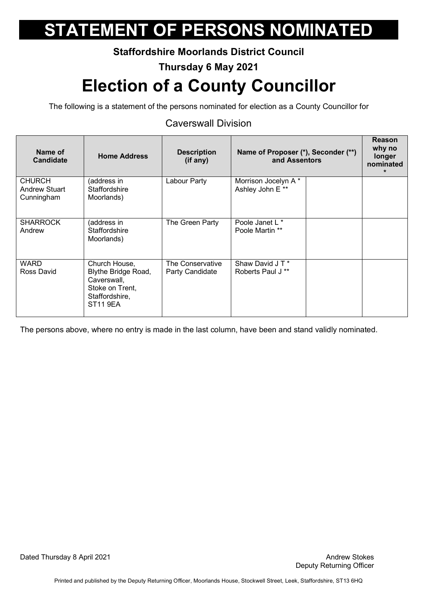#### **Staffordshire Moorlands District Council**

#### **Thursday 6 May 2021**

## **Election of a County Councillor**

The following is a statement of the persons nominated for election as a County Councillor for

### Caverswall Division

| Name of<br><b>Candidate</b>                         | <b>Home Address</b>                                                                                         | <b>Description</b><br>(if any)      | Name of Proposer (*), Seconder (**)<br>and Assentors | Reason<br>why no<br>longer<br>nominated<br>$\star$ |
|-----------------------------------------------------|-------------------------------------------------------------------------------------------------------------|-------------------------------------|------------------------------------------------------|----------------------------------------------------|
| <b>CHURCH</b><br><b>Andrew Stuart</b><br>Cunningham | (address in<br><b>Staffordshire</b><br>Moorlands)                                                           | Labour Party                        | Morrison Jocelyn A*<br>Ashley John E **              |                                                    |
| <b>SHARROCK</b><br>Andrew                           | (address in<br><b>Staffordshire</b><br>Moorlands)                                                           | The Green Party                     | Poole Janet L *<br>Poole Martin **                   |                                                    |
| WARD<br>Ross David                                  | Church House,<br>Blythe Bridge Road,<br>Caverswall,<br>Stoke on Trent,<br>Staffordshire,<br><b>ST11 9EA</b> | The Conservative<br>Party Candidate | Shaw David JT*<br>Roberts Paul J **                  |                                                    |

The persons above, where no entry is made in the last column, have been and stand validly nominated.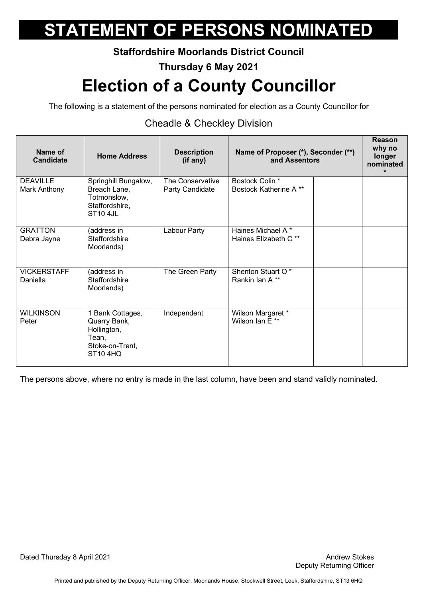### **Staffordshire Moorlands District Council**

### **Thursday 6 May 2021**

## **Election of a County Councillor**

The following is a statement of the persons nominated for election as a County Councillor for

### Cheadle & Checkley Division

| Name of<br><b>Candidate</b>     | <b>Home Address</b>                                                                            | <b>Description</b><br>(if any)      | Name of Proposer (*), Seconder (**)<br>and Assentors   | Reason<br>why no<br>longer<br>nominated<br>$\star$ |
|---------------------------------|------------------------------------------------------------------------------------------------|-------------------------------------|--------------------------------------------------------|----------------------------------------------------|
| <b>DEAVILLE</b><br>Mark Anthony | Springhill Bungalow,<br>Breach Lane,<br>Totmonslow,<br>Staffordshire,<br><b>ST10 4JL</b>       | The Conservative<br>Party Candidate | Bostock Colin *<br><b>Bostock Katherine A **</b>       |                                                    |
| <b>GRATTON</b><br>Debra Jayne   | (address in<br><b>Staffordshire</b><br>Moorlands)                                              | Labour Party                        | Haines Michael A *<br>Haines Elizabeth C <sup>**</sup> |                                                    |
| <b>VICKERSTAFF</b><br>Daniella  | (address in<br>Staffordshire<br>Moorlands)                                                     | The Green Party                     | Shenton Stuart O*<br>Rankin Ian A **                   |                                                    |
| <b>WILKINSON</b><br>Peter       | 1 Bank Cottages,<br>Quarry Bank,<br>Hollington,<br>Tean,<br>Stoke-on-Trent,<br><b>ST10 4HQ</b> | Independent                         | Wilson Margaret *<br>Wilson Ian E**                    |                                                    |

The persons above, where no entry is made in the last column, have been and stand validly nominated.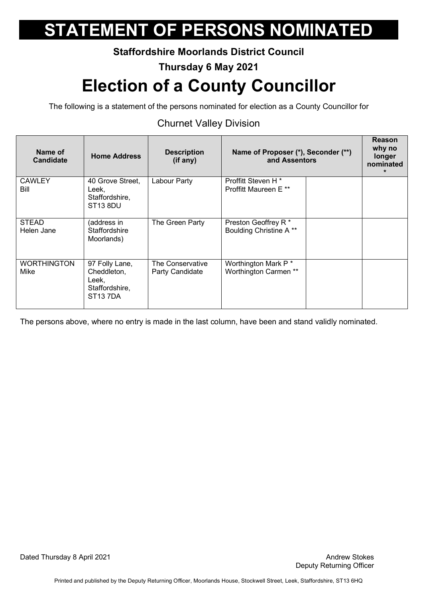### **Staffordshire Moorlands District Council**

**Thursday 6 May 2021** 

## **Election of a County Councillor**

The following is a statement of the persons nominated for election as a County Councillor for

### Churnet Valley Division

| Name of<br><b>Candidate</b> | <b>Home Address</b>                                                              | <b>Description</b><br>(if any)      | Name of Proposer (*), Seconder (**)<br>and Assentors               | <b>Reason</b><br>why no<br><b>longer</b><br>nominated<br>$\star$ |
|-----------------------------|----------------------------------------------------------------------------------|-------------------------------------|--------------------------------------------------------------------|------------------------------------------------------------------|
| <b>CAWLEY</b><br>Bill       | 40 Grove Street,<br>Leek,<br>Staffordshire,<br>ST <sub>13</sub> 8DU              | Labour Party                        | Proffitt Steven H <sup>*</sup><br>Proffitt Maureen E <sup>**</sup> |                                                                  |
| <b>STEAD</b><br>Helen Jane  | (address in<br><b>Staffordshire</b><br>Moorlands)                                | The Green Party                     | Preston Geoffrey R*<br>Boulding Christine A **                     |                                                                  |
| <b>WORTHINGTON</b><br>Mike  | 97 Folly Lane,<br>Cheddleton,<br>Leek.<br>Staffordshire,<br>ST <sub>13</sub> 7DA | The Conservative<br>Party Candidate | Worthington Mark P *<br>Worthington Carmen **                      |                                                                  |

The persons above, where no entry is made in the last column, have been and stand validly nominated.

Dated Thursday 8 April 2021 and the stockes of the Stokes Andrew Stokes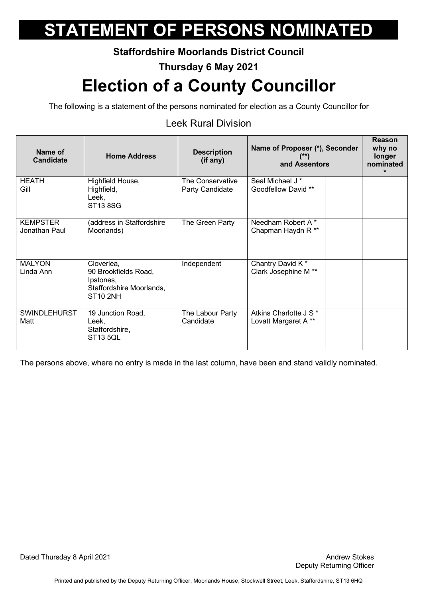#### **Staffordshire Moorlands District Council**

**Thursday 6 May 2021** 

## **Election of a County Councillor**

The following is a statement of the persons nominated for election as a County Councillor for

### Leek Rural Division

| Name of<br><b>Candidate</b>      | <b>Home Address</b>                                                                            | <b>Description</b><br>(if any)      | Name of Proposer (*), Seconder<br>$($ **)<br>and Assentors | Reason<br>why no<br>longer<br>nominated |
|----------------------------------|------------------------------------------------------------------------------------------------|-------------------------------------|------------------------------------------------------------|-----------------------------------------|
| <b>HEATH</b><br>Gill             | Highfield House,<br>Highfield,<br>Leek,<br><b>ST13 8SG</b>                                     | The Conservative<br>Party Candidate | Seal Michael J <sup>*</sup><br>Goodfellow David **         |                                         |
| <b>KEMPSTER</b><br>Jonathan Paul | (address in Staffordshire<br>Moorlands)                                                        | The Green Party                     | Needham Robert A*<br>Chapman Haydn R <sup>**</sup>         |                                         |
| <b>MALYON</b><br>Linda Ann       | Cloverlea,<br>90 Brookfields Road,<br>Ipstones,<br>Staffordshire Moorlands,<br><b>ST10 2NH</b> | Independent                         | Chantry David K*<br>Clark Josephine M **                   |                                         |
| <b>SWINDLEHURST</b><br>Matt      | 19 Junction Road,<br>Leek,<br>Staffordshire,<br><b>ST13 5QL</b>                                | The Labour Party<br>Candidate       | Atkins Charlotte J S *<br>Lovatt Margaret A **             |                                         |

The persons above, where no entry is made in the last column, have been and stand validly nominated.